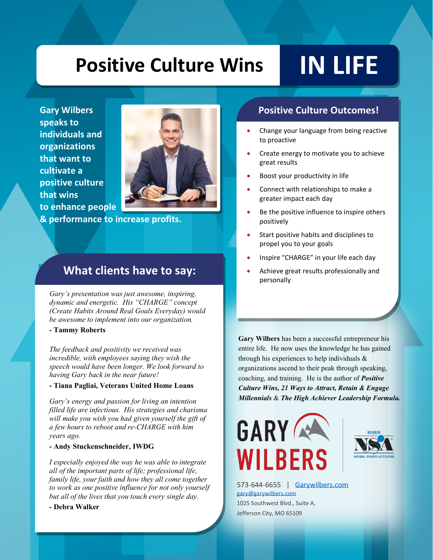# **Positive Culture Wins IN LIFE**

**Gary Wilbers speaks to individuals and organizations that want to cultivate a positive culture that wins to enhance people** 



**& performance to increase profits.** 

### **What clients have to say:**

*Gary's presentation was just awesome, inspiring, dynamic and energetic. His "CHARGE" concept (Create Habits Around Real Goals Everyday) would be awesome to implement into our organization.*

#### **- Tammy Roberts**

*The feedback and positivity we received was incredible, with employees saying they wish the speech would have been longer. We look forward to having Gary back in the near future!*

#### **- Tiana Pagliai, Veterans United Home Loans**

*Gary's energy and passion for living an intention filled life are infectious. His strategies and charisma will make you wish you had given yourself the gift of a few hours to reboot and re-CHARGE with him years ago.*

#### **- Andy Stuckenschneider, IWDG**

*I especially enjoyed the way he was able to integrate all of the important parts of life; professional life, family life, your faith and how they all come together to work as one positive influence for not only yourself but all of the lives that you touch every single day.*

#### **- Debra Walker**

#### **Positive Culture Outcomes!**

- Change your language from being reactive to proactive
- Create energy to motivate you to achieve great results
- Boost your productivity in life
- Connect with relationships to make a greater impact each day
- Be the positive influence to inspire others positively
- Start positive habits and disciplines to propel you to your goals
- Inspire "CHARGE" in your life each day
- Achieve great results professionally and personally

**Gary Wilbers** has been a successful entrepreneur his entire life. He now uses the knowledge he has gained through his experiences to help individuals & organizations ascend to their peak through speaking, coaching, and training. He is the author of *Positive Culture Wins, 21 Ways to Attract, Retain & Engage Millennials* & *The High Achiever Leadership Formula.*





573-644-6655 | [Garywilbers.com](http://www.garywilbers.com/) [gary@garywilbers.com](mailto:gary@garywilbers.com) 1025 Southwest Blvd., Suite A, Jefferson City, MO 65109